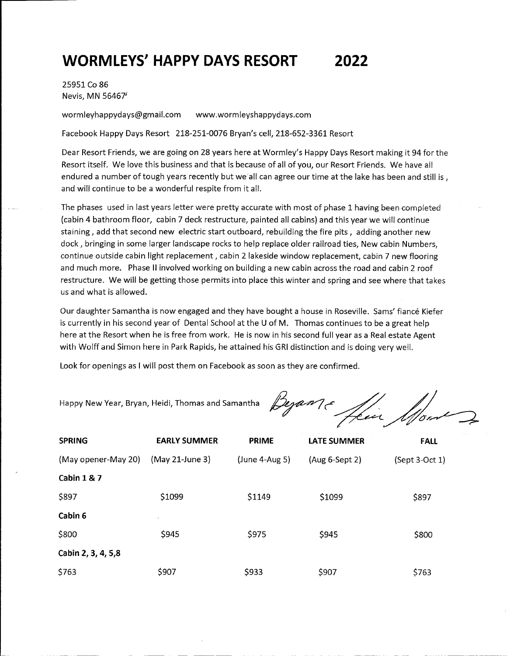## **WORMLEYS' HAPPY DAYS RESORT 2022**

25951 Co 86 Nevis, MN 56467 1

wormleyhappydays@gmail.com www.wormleyshappydays.com

Facebook Happy Days Resort 218-251-0076 Bryan's cell, 218-652-3361 Resort

Dear Resort Friends, we are going on 28 years here at Wormley's Happy Days Resort making it 94 for the Resort itself. We love this business and that is because of all of you, our Resort Friends. We have all endured a number of tough years recently but we'all can agree our time at the lake has been and still is, and will continue to be a wonderful respite from it all.

The phases used in last years letter were pretty accurate with most of phase 1 having been completed (cabin 4 bathroom floor, cabin 7 deck restructure, painted all cabins) and this year we will continue staining, add that second new electric start outboard, rebuilding the fire pits, adding another new dock, bringing in some larger landscape rocks to help replace older railroad ties, New cabin Numbers, continue outside cabin light replacement, cabin 2 lakeside window replacement, cabin 7 new flooring and much more. Phase II involved working on building a new cabin across the road and cabin 2 roof restructure. We will be getting those permits into place this winter and spring and see where that takes us and what is allowed.

Our daughter Samantha is now engaged and they have bought a house in Roseville. Sams' fiance Kiefer is currently in his second year of Dental School at the U of M. Thomas continues to be a great help here at the Resort when he is free from work. He is now in his second full year as a Real estate Agent with Wolff and Simon here in Park Rapids, he attained his GRI distinction and is doing very well.

Look for openings as I will post them on Facebook as soon as they are confirmed.

Happy New Year, Bryan, Heidi, Thomas and Samantha

Beganne ffin

| <b>SPRING</b>          | <b>EARLY SUMMER</b> | <b>PRIME</b>     | <b>LATE SUMMER</b> | <b>FALL</b>      |
|------------------------|---------------------|------------------|--------------------|------------------|
| (May opener-May 20)    | (May 21-June 3)     | $(June 4-Aug 5)$ | $(Aug 6-Sept 2)$   | $(Sept 3-Oct 1)$ |
| <b>Cabin 1 &amp; 7</b> |                     |                  |                    |                  |
| \$897                  | \$1099              | \$1149           | \$1099             | \$897            |
| Cabin 6                |                     |                  |                    |                  |
| \$800                  | \$945               | \$975            | \$945              | \$800            |
| Cabin 2, 3, 4, 5,8     |                     |                  |                    |                  |
| \$763                  | \$907               | \$933            | \$907              | \$763            |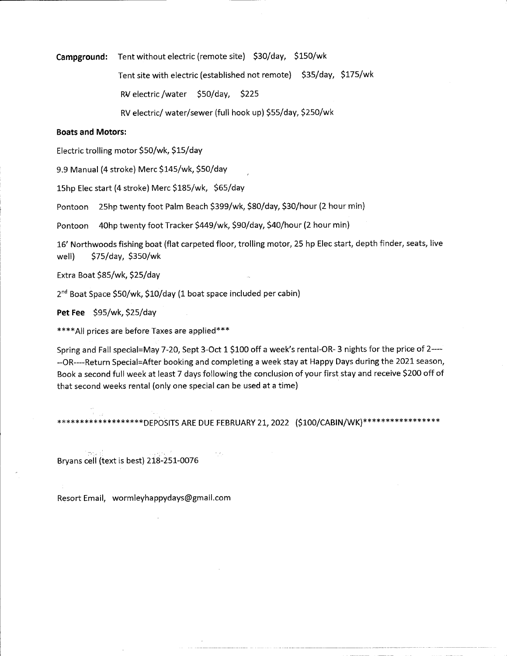## **Campground:** Tent without electric (remote site) \$30/day, \$150/wk

Tent site with electric (established not remote) \$35/day, \$175/wk

RV electric /water \$50/day, \$225

RV electric/ water/sewer (full hook up) \$55/day, \$250/wk

## **Boats and Motors:**

Electric trolling motor \$SO/wk, \$15/day

9.9 Manual (4 stroke) Mere \$145/wk, \$SO/day

15hp Elec start (4 stroke) Mere \$185/wk, \$65/day

Pontoon 25hp twenty foot Palm Beach \$399/wk, \$80/day, \$30/hour (2 hour min)

Pontoon 40hp twenty foot Tracker \$449/wk, \$90/day, \$40/hour (2 hour min)

16' Northwoods fishing boat (flat carpeted floor, trolling motor, 25 hp Elec start, depth finder, seats, live well) \$75/day, \$350/wk

Extra Boat \$85/wk, \$25/day

2<sup>nd</sup> Boat Space \$50/wk, \$10/day (1 boat space included per cabin)

**Pet Fee** \$95/wk, \$25/day

\*\*\*\*All prices are before Taxes are applied\*\*\*

Spring and Fall special=May 7-20, Sept 3-Oct 1 \$100 off a week's rental-OR-3 nights for the price of 2------OR----Return Special=After booking and completing a week stay at Happy Days during the 2021 season, Book a second full week at least 7 days following the conclusion of your first stay and receive \$200 off of that second weeks rental (only one special can be used at a time)

\*\*\*\*\*\*\*\*\*\*\*\*\*\*\*DEPOSITS ARE DUE FEBRUARY 21, 2022 (\$100/CABIN/WK)\*\*\*\*\*\*\*\*\*\*\*\*\*\*\*\*

Bryans ceii (text is best) 218-251-0076

Resort Email, wormleyhappydays@gmail.com